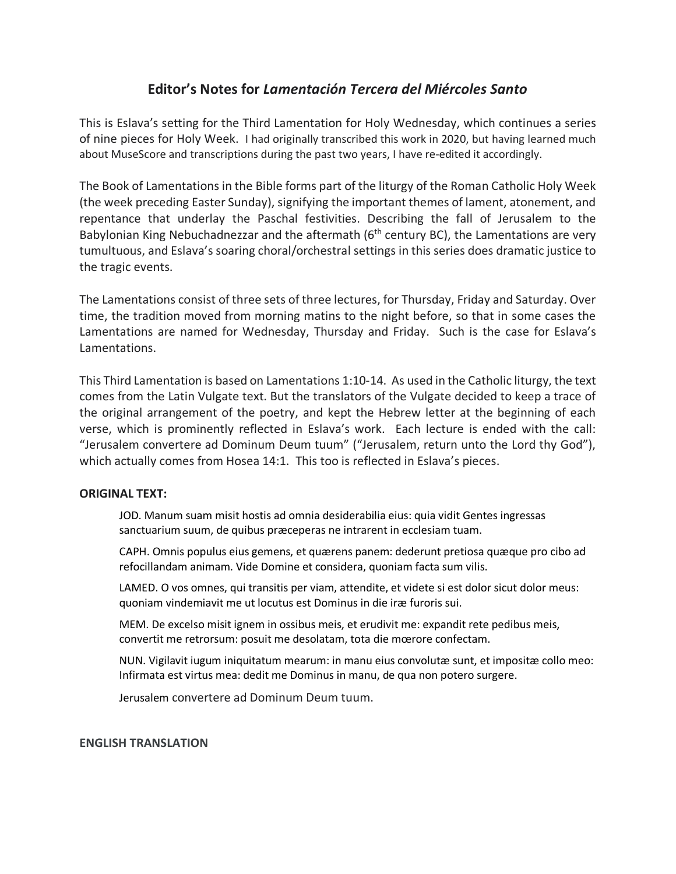## **Editor's Notes for** *Lamentación Tercera del Miércoles Santo*

This is Eslava's setting for the Third Lamentation for Holy Wednesday, which continues a series of nine pieces for Holy Week. I had originally transcribed this work in 2020, but having learned much about MuseScore and transcriptions during the past two years, I have re-edited it accordingly.

The Book of Lamentations in the Bible forms part of the liturgy of the Roman Catholic Holy Week (the week preceding Easter Sunday), signifying the important themes of lament, atonement, and repentance that underlay the Paschal festivities. Describing the fall of Jerusalem to the Babylonian King Nebuchadnezzar and the aftermath ( $6<sup>th</sup>$  century BC), the Lamentations are very tumultuous, and Eslava's soaring choral/orchestral settings in this series does dramatic justice to the tragic events.

The Lamentations consist of three sets of three lectures, for Thursday, Friday and Saturday. Over time, the tradition moved from morning matins to the night before, so that in some cases the Lamentations are named for Wednesday, Thursday and Friday. Such is the case for Eslava's Lamentations.

This Third Lamentation is based on Lamentations 1:10-14. As used in the Catholic liturgy, the text comes from the Latin Vulgate text. But the translators of the Vulgate decided to keep a trace of the original arrangement of the poetry, and kept the Hebrew letter at the beginning of each verse, which is prominently reflected in Eslava's work. Each lecture is ended with the call: "Jerusalem convertere ad Dominum Deum tuum" ("Jerusalem, return unto the Lord thy God"), which actually comes from Hosea 14:1. This too is reflected in Eslava's pieces.

## **ORIGINAL TEXT:**

JOD. Manum suam misit hostis ad omnia desiderabilia eius: quia vidit Gentes ingressas sanctuarium suum, de quibus præceperas ne intrarent in ecclesiam tuam.

CAPH. Omnis populus eius gemens, et quærens panem: dederunt pretiosa quæque pro cibo ad refocillandam animam. Vide Domine et considera, quoniam facta sum vilis.

LAMED. O vos omnes, qui transitis per viam, attendite, et videte si est dolor sicut dolor meus: quoniam vindemiavit me ut locutus est Dominus in die iræ furoris sui.

MEM. De excelso misit ignem in ossibus meis, et erudivit me: expandit rete pedibus meis, convertit me retrorsum: posuit me desolatam, tota die mœrore confectam.

NUN. Vigilavit iugum iniquitatum mearum: in manu eius convolutæ sunt, et impositæ collo meo: Infirmata est virtus mea: dedit me Dominus in manu, de qua non potero surgere.

Jerusalem convertere ad Dominum Deum tuum.

## **ENGLISH TRANSLATION**